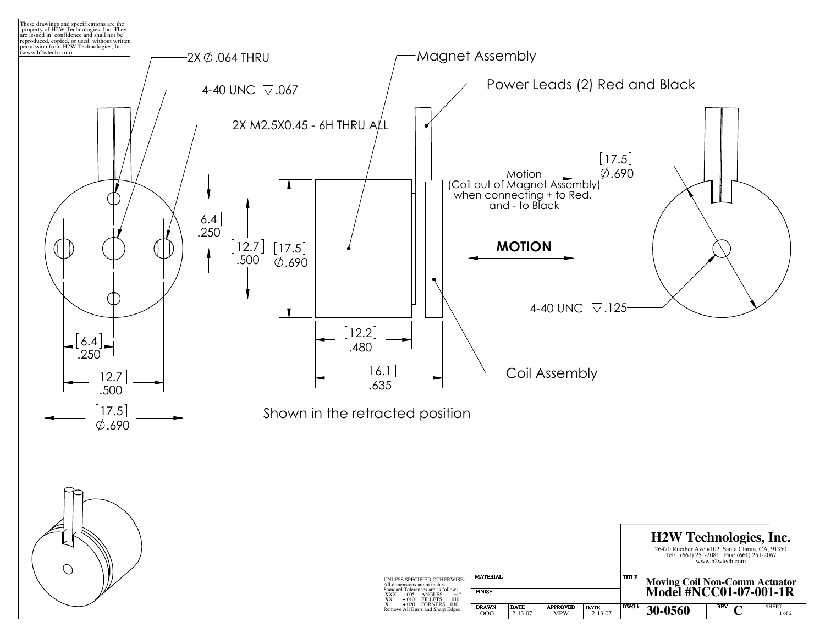